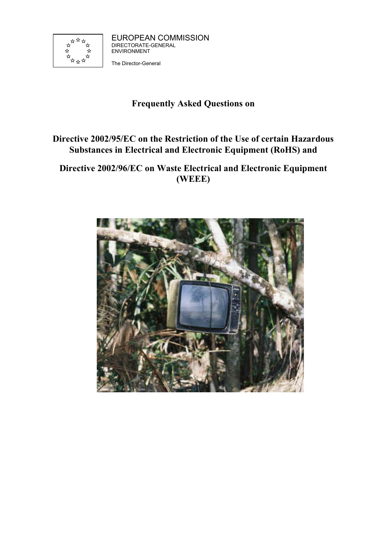

EUROPEAN COMMISSION DIRECTORATE-GENERAL ENVIRONMENT

The Director-General

# **Frequently Asked Questions on**

# **Directive 2002/95/EC on the Restriction of the Use of certain Hazardous Substances in Electrical and Electronic Equipment (RoHS) and**

## **Directive 2002/96/EC on Waste Electrical and Electronic Equipment (WEEE)**

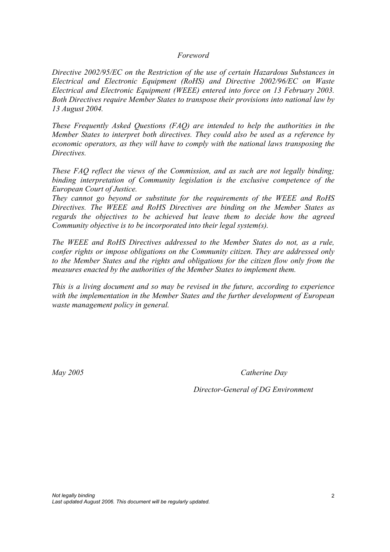#### *Foreword*

*Directive 2002/95/EC on the Restriction of the use of certain Hazardous Substances in Electrical and Electronic Equipment (RoHS) and Directive 2002/96/EC on Waste Electrical and Electronic Equipment (WEEE) entered into force on 13 February 2003. Both Directives require Member States to transpose their provisions into national law by 13 August 2004.* 

*These Frequently Asked Questions (FAQ) are intended to help the authorities in the Member States to interpret both directives. They could also be used as a reference by economic operators, as they will have to comply with the national laws transposing the Directives.* 

*These FAQ reflect the views of the Commission, and as such are not legally binding; binding interpretation of Community legislation is the exclusive competence of the European Court of Justice.* 

*They cannot go beyond or substitute for the requirements of the WEEE and RoHS Directives. The WEEE and RoHS Directives are binding on the Member States as regards the objectives to be achieved but leave them to decide how the agreed Community objective is to be incorporated into their legal system(s).* 

*The WEEE and RoHS Directives addressed to the Member States do not, as a rule, confer rights or impose obligations on the Community citizen. They are addressed only to the Member States and the rights and obligations for the citizen flow only from the measures enacted by the authorities of the Member States to implement them.*

*This is a living document and so may be revised in the future, according to experience with the implementation in the Member States and the further development of European waste management policy in general.* 

*May 2005 Catherine Day* 

*Director-General of DG Environment*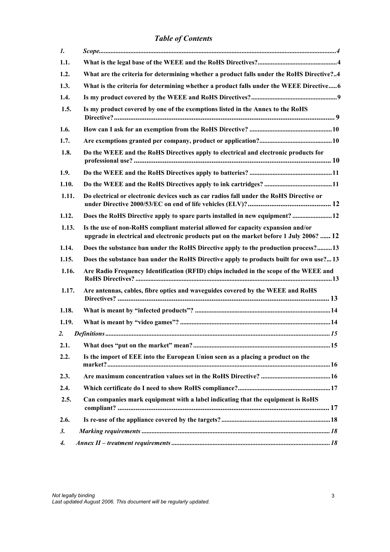*Table of Contents* 

| 1.    |                                                                                                                                                                            |  |
|-------|----------------------------------------------------------------------------------------------------------------------------------------------------------------------------|--|
| 1.1.  |                                                                                                                                                                            |  |
| 1.2.  | What are the criteria for determining whether a product falls under the RoHS Directive?4                                                                                   |  |
| 1.3.  | What is the criteria for determining whether a product falls under the WEEE Directive 6                                                                                    |  |
| 1.4.  |                                                                                                                                                                            |  |
| 1.5.  | Is my product covered by one of the exemptions listed in the Annex to the RoHS                                                                                             |  |
| 1.6.  |                                                                                                                                                                            |  |
| 1.7.  |                                                                                                                                                                            |  |
| 1.8.  | Do the WEEE and the RoHS Directives apply to electrical and electronic products for                                                                                        |  |
| 1.9.  |                                                                                                                                                                            |  |
| 1.10. |                                                                                                                                                                            |  |
| 1.11. | Do electrical or electronic devices such as car radios fall under the RoHS Directive or                                                                                    |  |
| 1.12. | Does the RoHS Directive apply to spare parts installed in new equipment?  12                                                                                               |  |
| 1.13. | Is the use of non-RoHS compliant material allowed for capacity expansion and/or<br>upgrade in electrical and electronic products put on the market before 1 July 2006?  12 |  |
| 1.14. | Does the substance ban under the RoHS Directive apply to the production process?13                                                                                         |  |
| 1.15. | Does the substance ban under the RoHS Directive apply to products built for own use? 13                                                                                    |  |
| 1.16. | Are Radio Frequency Identification (RFID) chips included in the scope of the WEEE and                                                                                      |  |
| 1.17. | Are antennas, cables, fibre optics and waveguides covered by the WEEE and RoHS                                                                                             |  |
| 1.18. |                                                                                                                                                                            |  |
| 1.19. |                                                                                                                                                                            |  |
| 2.    |                                                                                                                                                                            |  |
| 2.1.  |                                                                                                                                                                            |  |
| 2.2.  | Is the import of EEE into the European Union seen as a placing a product on the                                                                                            |  |
| 2.3.  |                                                                                                                                                                            |  |
| 2.4.  |                                                                                                                                                                            |  |
| 2.5.  | Can companies mark equipment with a label indicating that the equipment is RoHS                                                                                            |  |
| 2.6.  |                                                                                                                                                                            |  |
| 3.    |                                                                                                                                                                            |  |
| 4.    |                                                                                                                                                                            |  |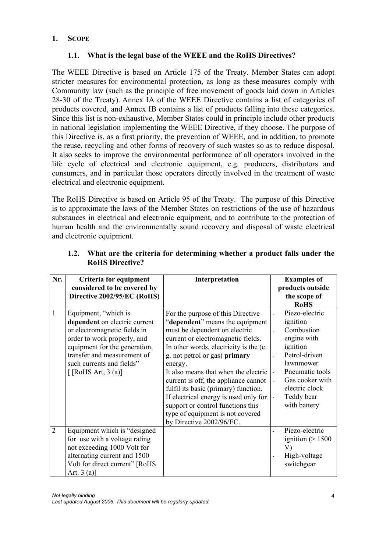## **1. SCOPE**

## **1.1. What is the legal base of the WEEE and the RoHS Directives?**

The WEEE Directive is based on Article 175 of the Treaty. Member States can adopt stricter measures for environmental protection, as long as these measures comply with Community law (such as the principle of free movement of goods laid down in Articles 28-30 of the Treaty). Annex IA of the WEEE Directive contains a list of categories of products covered, and Annex IB contains a list of products falling into these categories. Since this list is non-exhaustive, Member States could in principle include other products in national legislation implementing the WEEE Directive, if they choose. The purpose of this Directive is, as a first priority, the prevention of WEEE, and in addition, to promote the reuse, recycling and other forms of recovery of such wastes so as to reduce disposal. It also seeks to improve the environmental performance of all operators involved in the life cycle of electrical and electronic equipment, e.g. producers, distributors and consumers, and in particular those operators directly involved in the treatment of waste electrical and electronic equipment.

The RoHS Directive is based on Article 95 of the Treaty. The purpose of this Directive is to approximate the laws of the Member States on restrictions of the use of hazardous substances in electrical and electronic equipment, and to contribute to the protection of human health and the environmentally sound recovery and disposal of waste electrical and electronic equipment.

| Nr.            | Criteria for equipment                                                                                                                                                                                                                        | Interpretation                                                                                                                                                                                                                                                                                                                                                                                                                          | <b>Examples of</b>                                                                                                                                                                                                                                                                  |
|----------------|-----------------------------------------------------------------------------------------------------------------------------------------------------------------------------------------------------------------------------------------------|-----------------------------------------------------------------------------------------------------------------------------------------------------------------------------------------------------------------------------------------------------------------------------------------------------------------------------------------------------------------------------------------------------------------------------------------|-------------------------------------------------------------------------------------------------------------------------------------------------------------------------------------------------------------------------------------------------------------------------------------|
|                | considered to be covered by                                                                                                                                                                                                                   |                                                                                                                                                                                                                                                                                                                                                                                                                                         | products outside                                                                                                                                                                                                                                                                    |
|                | Directive 2002/95/EC (RoHS)                                                                                                                                                                                                                   |                                                                                                                                                                                                                                                                                                                                                                                                                                         | the scope of                                                                                                                                                                                                                                                                        |
|                |                                                                                                                                                                                                                                               |                                                                                                                                                                                                                                                                                                                                                                                                                                         | <b>RoHS</b>                                                                                                                                                                                                                                                                         |
| 1              | Equipment, "which is<br>dependent on electric current<br>or electromagnetic fields in<br>order to work properly, and<br>equipment for the generation,<br>transfer and measurement of<br>such currents and fields"<br>$[$ [RoHS Art, 3 $(a)$ ] | For the purpose of this Directive<br>"dependent" means the equipment<br>must be dependent on electric<br>current or electromagnetic fields.<br>In other words, electricity is the (e.<br>g. not petrol or gas) primary<br>energy.<br>It also means that when the electric<br>current is off, the appliance cannot<br>fulfil its basic (primary) function.<br>If electrical energy is used only for<br>support or control functions this | Piezo-electric<br>$\overline{a}$<br>ignition<br>Combustion<br>engine with<br>ignition<br>Petrol-driven<br>lawnmower<br>Pneumatic tools<br>$\overline{\phantom{a}}$<br>Gas cooker with<br>$\blacksquare$<br>electric clock<br>Teddy bear<br>$\overline{\phantom{a}}$<br>with battery |
| $\overline{2}$ | Equipment which is "designed<br>for use with a voltage rating<br>not exceeding 1000 Volt for                                                                                                                                                  | type of equipment is not covered<br>by Directive 2002/96/EC.                                                                                                                                                                                                                                                                                                                                                                            | Piezo-electric<br>$\overline{a}$<br>ignition ( $> 1500$<br>$\rm V)$                                                                                                                                                                                                                 |
|                | alternating current and 1500<br>Volt for direct current" [RoHS<br>Art. $3(a)$ ]                                                                                                                                                               |                                                                                                                                                                                                                                                                                                                                                                                                                                         | High-voltage<br>switchgear                                                                                                                                                                                                                                                          |

### **1.2. What are the criteria for determining whether a product falls under the RoHS Directive?**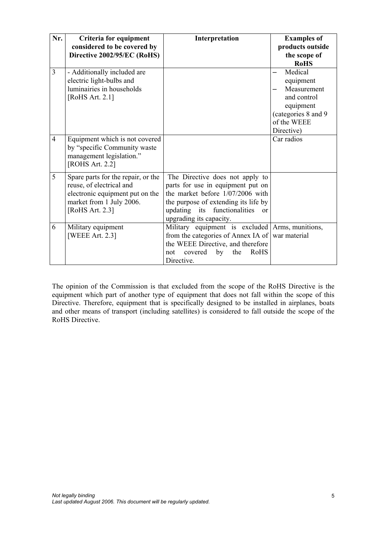| Nr.            | Criteria for equipment<br>considered to be covered by<br>Directive 2002/95/EC (RoHS)                                                             | Interpretation                                                                                                                                                                                                       | <b>Examples of</b><br>products outside<br>the scope of                                                               |
|----------------|--------------------------------------------------------------------------------------------------------------------------------------------------|----------------------------------------------------------------------------------------------------------------------------------------------------------------------------------------------------------------------|----------------------------------------------------------------------------------------------------------------------|
|                |                                                                                                                                                  |                                                                                                                                                                                                                      | <b>RoHS</b>                                                                                                          |
| 3              | - Additionally included are<br>electric light-bulbs and<br>luminairies in households<br>[RoHS Art. 2.1]                                          |                                                                                                                                                                                                                      | Medical<br>equipment<br>Measurement<br>and control<br>equipment<br>(categories 8 and 9)<br>of the WEEE<br>Directive) |
| $\overline{4}$ | Equipment which is not covered<br>by "specific Community waste<br>management legislation."<br>[ROHS Art. 2.2]                                    |                                                                                                                                                                                                                      | Car radios                                                                                                           |
| 5              | Spare parts for the repair, or the<br>reuse, of electrical and<br>electronic equipment put on the<br>market from 1 July 2006.<br>[RoHS Art. 2.3] | The Directive does not apply to<br>parts for use in equipment put on<br>the market before 1/07/2006 with<br>the purpose of extending its life by<br>functionalities<br>updating its<br>or<br>upgrading its capacity. |                                                                                                                      |
| 6              | Military equipment<br>[WEEE Art. 2.3]                                                                                                            | Military equipment is excluded<br>from the categories of Annex IA of<br>the WEEE Directive, and therefore<br>by<br>RoHS<br>not covered<br>the<br>Directive.                                                          | Arms, munitions,<br>war material                                                                                     |

The opinion of the Commission is that excluded from the scope of the RoHS Directive is the equipment which part of another type of equipment that does not fall within the scope of this Directive. Therefore, equipment that is specifically designed to be installed in airplanes, boats and other means of transport (including satellites) is considered to fall outside the scope of the RoHS Directive.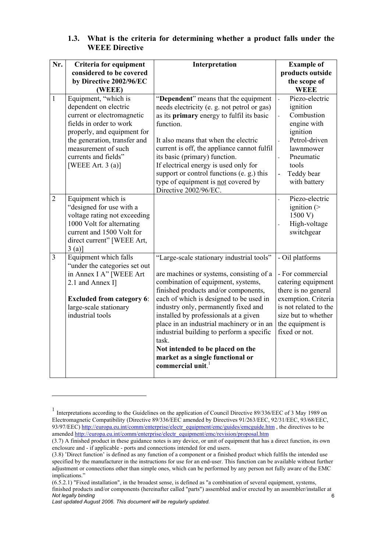| 1.3. | What is the criteria for determining whether a product falls under the |  |
|------|------------------------------------------------------------------------|--|
|      | <b>WEEE Directive</b>                                                  |  |

| Nr.            | Criteria for equipment                                                                                                                                                                                                                      | Interpretation                                                                                                                                                                                                                                                                                                                                                                                                                                                                                              | <b>Example of</b>                                                                                                                                                                                                                                         |
|----------------|---------------------------------------------------------------------------------------------------------------------------------------------------------------------------------------------------------------------------------------------|-------------------------------------------------------------------------------------------------------------------------------------------------------------------------------------------------------------------------------------------------------------------------------------------------------------------------------------------------------------------------------------------------------------------------------------------------------------------------------------------------------------|-----------------------------------------------------------------------------------------------------------------------------------------------------------------------------------------------------------------------------------------------------------|
|                | considered to be covered                                                                                                                                                                                                                    |                                                                                                                                                                                                                                                                                                                                                                                                                                                                                                             | products outside                                                                                                                                                                                                                                          |
|                | by Directive 2002/96/EC                                                                                                                                                                                                                     |                                                                                                                                                                                                                                                                                                                                                                                                                                                                                                             | the scope of                                                                                                                                                                                                                                              |
|                | (WEEE)                                                                                                                                                                                                                                      |                                                                                                                                                                                                                                                                                                                                                                                                                                                                                                             | <b>WEEE</b>                                                                                                                                                                                                                                               |
| $\mathbf{1}$   | Equipment, "which is<br>dependent on electric<br>current or electromagnetic<br>fields in order to work<br>properly, and equipment for<br>the generation, transfer and<br>measurement of such<br>currents and fields"<br>[WEEE Art. $3$ (a)] | "Dependent" means that the equipment<br>needs electricity (e. g. not petrol or gas)<br>as its primary energy to fulfil its basic<br>function.<br>It also means that when the electric<br>current is off, the appliance cannot fulfil<br>its basic (primary) function.<br>If electrical energy is used only for<br>support or control functions (e. g.) this<br>type of equipment is not covered by                                                                                                          | Piezo-electric<br>$\overline{\phantom{a}}$<br>ignition<br>Combustion<br>$\overline{a}$<br>engine with<br>ignition<br>Petrol-driven<br>$\overline{a}$<br>lawnmower<br>Pneumatic<br>$\overline{a}$<br>tools<br>Teddy bear<br>$\blacksquare$<br>with battery |
|                |                                                                                                                                                                                                                                             | Directive 2002/96/EC.                                                                                                                                                                                                                                                                                                                                                                                                                                                                                       |                                                                                                                                                                                                                                                           |
| $\overline{2}$ | Equipment which is<br>"designed for use with a<br>voltage rating not exceeding<br>1000 Volt for alternating<br>current and 1500 Volt for<br>direct current" [WEEE Art,<br>3(a)                                                              |                                                                                                                                                                                                                                                                                                                                                                                                                                                                                                             | Piezo-electric<br>$\overline{a}$<br>ignition $($<br>1500 V)<br>High-voltage<br>switchgear                                                                                                                                                                 |
| $\overline{3}$ | Equipment which falls<br>"under the categories set out<br>in Annex I A" [WEEE Art<br>2.1 and Annex I]<br><b>Excluded from category 6:</b><br>large-scale stationary<br>industrial tools                                                     | "Large-scale stationary industrial tools"<br>are machines or systems, consisting of a<br>combination of equipment, systems,<br>finished products and/or components,<br>each of which is designed to be used in<br>industry only, permanently fixed and<br>installed by professionals at a given<br>place in an industrial machinery or in an<br>industrial building to perform a specific<br>task.<br>Not intended to be placed on the<br>market as a single functional or<br>commercial unit. <sup>1</sup> | - Oil platforms<br>- For commercial<br>catering equipment<br>there is no general<br>exemption. Criteria<br>is not related to the<br>size but to whether<br>the equipment is<br>fixed or not.                                                              |

*Last updated August 2006. This document will be regularly updated.*

<sup>&</sup>lt;sup>1</sup> Interpretations according to the Guidelines on the application of Council Directive 89/336/EEC of 3 May 1989 on Electromagnetic Compatibility (Directive 89/336/EEC amended by Directives 91/263/EEC, 92/31/EEC, 93/68/EEC, 93/97/EEC) http://europa.eu.int/comm/enterprise/electr\_equipment/emc/guides/emcguide.htm , the directives to be amended http://europa.eu.int/comm/enterprise/electr\_equipment/emc/revision/proposal.htm

<sup>(3.7)</sup> A finished product in these guidance notes is any device, or unit of equipment that has a direct function, its own enclosure and - if applicable - ports and connections intended for end users.

<sup>(3.8) &#</sup>x27;Direct function' is defined as any function of a component or a finished product which fulfils the intended use specified by the manufacturer in the instructions for use for an end-user. This function can be available without further adjustment or connections other than simple ones, which can be performed by any person not fully aware of the EMC implications."

*Not legally binding*  6  $(6.5.2.1)$  "Fixed installation", in the broadest sense, is defined as "a combination of several equipment, systems, finished products and/or components (hereinafter called "parts") assembled and/or erected by an assembler/installer at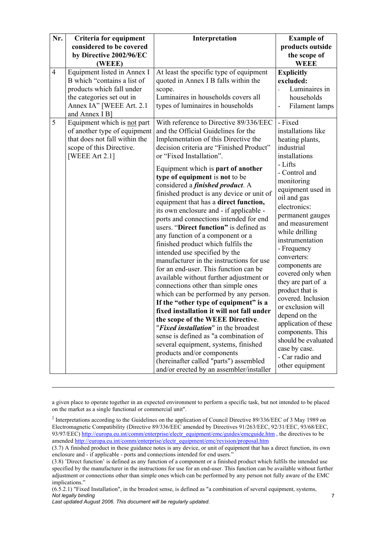| Nr.            | Criteria for equipment        | Interpretation                            | <b>Example of</b>                        |
|----------------|-------------------------------|-------------------------------------------|------------------------------------------|
|                | considered to be covered      |                                           | products outside                         |
|                | by Directive 2002/96/EC       |                                           | the scope of                             |
|                | (WEEE)                        |                                           | <b>WEEE</b>                              |
| $\overline{4}$ | Equipment listed in Annex I   | At least the specific type of equipment   | <b>Explicitly</b>                        |
|                | B which "contains a list of   | quoted in Annex I B falls within the      | excluded:                                |
|                | products which fall under     | scope.                                    | Luminaires in<br>$\overline{a}$          |
|                | the categories set out in     | Luminaires in households covers all       | households                               |
|                | Annex IA" [WEEE Art. 2.1      | types of luminaires in households         | Filament lamps<br>÷                      |
|                | and Annex I B]                |                                           |                                          |
| 5              | Equipment which is not part   | With reference to Directive 89/336/EEC    | - Fixed                                  |
|                | of another type of equipment  | and the Official Guidelines for the       | installations like                       |
|                | that does not fall within the | Implementation of this Directive the      | heating plants,                          |
|                | scope of this Directive.      | decision criteria are "Finished Product"  | industrial                               |
|                | [WEEE Art 2.1]                | or "Fixed Installation".                  | installations                            |
|                |                               | Equipment which is part of another        | - Lifts                                  |
|                |                               | type of equipment is not to be            | - Control and                            |
|                |                               | considered a <i>finished product</i> . A  | monitoring                               |
|                |                               | finished product is any device or unit of | equipment used in                        |
|                |                               | equipment that has a direct function,     | oil and gas                              |
|                |                               | its own enclosure and - if applicable -   | electronics:                             |
|                |                               | ports and connections intended for end    | permanent gauges                         |
|                |                               | users. "Direct function" is defined as    | and measurement                          |
|                |                               | any function of a component or a          | while drilling                           |
|                |                               | finished product which fulfils the        | instrumentation                          |
|                |                               | intended use specified by the             | - Frequency                              |
|                |                               | manufacturer in the instructions for use  | converters:                              |
|                |                               | for an end-user. This function can be     | components are                           |
|                |                               | available without further adjustment or   | covered only when                        |
|                |                               | connections other than simple ones        | they are part of a                       |
|                |                               | which can be performed by any person.     | product that is                          |
|                |                               | If the "other type of equipment" is a     | covered. Inclusion                       |
|                |                               | fixed installation it will not fall under | or exclusion will                        |
|                |                               | the scope of the WEEE Directive.          | depend on the                            |
|                |                               | "Fixed installation" in the broadest      | application of these<br>components. This |
|                |                               | sense is defined as "a combination of     | should be evaluated                      |
|                |                               | several equipment, systems, finished      | case by case.                            |
|                |                               | products and/or components                | - Car radio and                          |
|                |                               | (hereinafter called "parts") assembled    | other equipment                          |
|                |                               | and/or erected by an assembler/installer  |                                          |

a given place to operate together in an expected environment to perform a specific task, but not intended to be placed on the market as a single functional or commercial unit".

<sup>&</sup>lt;sup>2</sup> Interpretations according to the Guidelines on the application of Council Directive 89/336/EEC of 3 May 1989 on Electromagnetic Compatibility (Directive 89/336/EEC amended by Directives 91/263/EEC, 92/31/EEC, 93/68/EEC, 93/97/EEC) http://europa.eu.int/comm/enterprise/electr\_equipment/emc/guides/emcguide.htm , the directives to be amended http://europa.eu.int/comm/enterprise/electr\_equipment/emc/revision/proposal.htm

<sup>(3.7)</sup> A finished product in these guidance notes is any device, or unit of equipment that has a direct function, its own enclosure and - if applicable - ports and connections intended for end users."

<sup>(3.8) &#</sup>x27;Direct function' is defined as any function of a component or a finished product which fulfils the intended use specified by the manufacturer in the instructions for use for an end-user. This function can be available without further adjustment or connections other than simple ones which can be performed by any person not fully aware of the EMC implications."

*Not legally binding*  (6.5.2.1) "Fixed Installation", in the broadest sense, is defined as "a combination of several equipment, systems,

*Last updated August 2006. This document will be regularly updated.*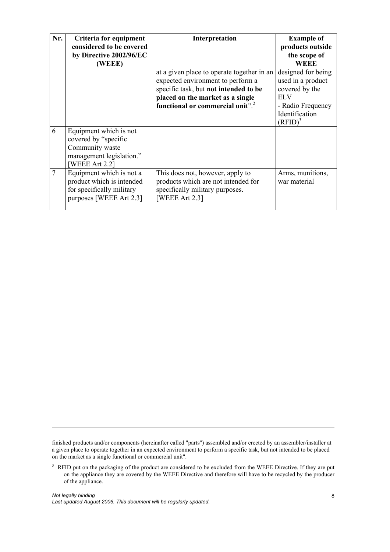| Nr.            | Criteria for equipment    | Interpretation                               | <b>Example of</b>  |
|----------------|---------------------------|----------------------------------------------|--------------------|
|                | considered to be covered  |                                              | products outside   |
|                | by Directive 2002/96/EC   |                                              | the scope of       |
|                | <b>WEEE</b> )             |                                              | WEEE               |
|                |                           | at a given place to operate together in an   | designed for being |
|                |                           | expected environment to perform a            | used in a product  |
|                |                           | specific task, but not intended to be        | covered by the     |
|                |                           | placed on the market as a single             | EL V               |
|                |                           | functional or commercial unit". <sup>2</sup> | - Radio Frequency  |
|                |                           |                                              | Identification     |
|                |                           |                                              | $(RFID)^3$         |
| 6              | Equipment which is not    |                                              |                    |
|                | covered by "specific"     |                                              |                    |
|                | Community waste           |                                              |                    |
|                | management legislation."  |                                              |                    |
|                | WEEE Art 2.21             |                                              |                    |
| $\overline{7}$ | Equipment which is not a  | This does not, however, apply to             | Arms, munitions,   |
|                | product which is intended | products which are not intended for          | war material       |
|                | for specifically military | specifically military purposes.              |                    |
|                | purposes [WEEE Art 2.3]   | <b>[WEEE Art 2.3]</b>                        |                    |
|                |                           |                                              |                    |

finished products and/or components (hereinafter called "parts") assembled and/or erected by an assembler/installer at a given place to operate together in an expected environment to perform a specific task, but not intended to be placed on the market as a single functional or commercial unit".

<sup>&</sup>lt;sup>3</sup> RFID put on the packaging of the product are considered to be excluded from the WEEE Directive. If they are put on the appliance they are covered by the WEEE Directive and therefore will have to be recycled by the producer of the appliance.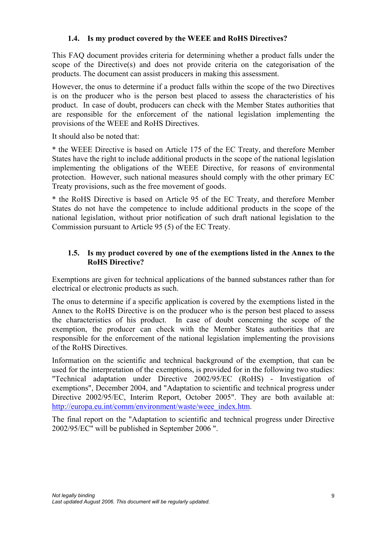### **1.4. Is my product covered by the WEEE and RoHS Directives?**

This FAQ document provides criteria for determining whether a product falls under the scope of the Directive(s) and does not provide criteria on the categorisation of the products. The document can assist producers in making this assessment.

However, the onus to determine if a product falls within the scope of the two Directives is on the producer who is the person best placed to assess the characteristics of his product. In case of doubt, producers can check with the Member States authorities that are responsible for the enforcement of the national legislation implementing the provisions of the WEEE and RoHS Directives.

It should also be noted that:

\* the WEEE Directive is based on Article 175 of the EC Treaty, and therefore Member States have the right to include additional products in the scope of the national legislation implementing the obligations of the WEEE Directive, for reasons of environmental protection. However, such national measures should comply with the other primary EC Treaty provisions, such as the free movement of goods.

\* the RoHS Directive is based on Article 95 of the EC Treaty, and therefore Member States do not have the competence to include additional products in the scope of the national legislation, without prior notification of such draft national legislation to the Commission pursuant to Article 95 (5) of the EC Treaty.

## **1.5. Is my product covered by one of the exemptions listed in the Annex to the RoHS Directive?**

Exemptions are given for technical applications of the banned substances rather than for electrical or electronic products as such.

The onus to determine if a specific application is covered by the exemptions listed in the Annex to the RoHS Directive is on the producer who is the person best placed to assess the characteristics of his product. In case of doubt concerning the scope of the exemption, the producer can check with the Member States authorities that are responsible for the enforcement of the national legislation implementing the provisions of the RoHS Directives.

Information on the scientific and technical background of the exemption, that can be used for the interpretation of the exemptions, is provided for in the following two studies: "Technical adaptation under Directive 2002/95/EC (RoHS) - Investigation of exemptions", December 2004, and "Adaptation to scientific and technical progress under Directive 2002/95/EC, Interim Report, October 2005". They are both available at: http://europa.eu.int/comm/environment/waste/weee\_index.htm.

The final report on the "Adaptation to scientific and technical progress under Directive 2002/95/EC" will be published in September 2006 ".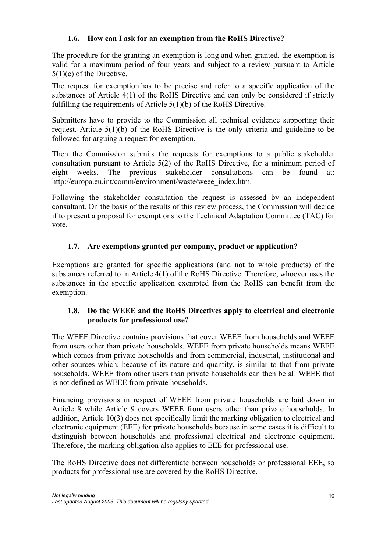## **1.6. How can I ask for an exemption from the RoHS Directive?**

The procedure for the granting an exemption is long and when granted, the exemption is valid for a maximum period of four years and subject to a review pursuant to Article 5(1)(c) of the Directive.

The request for exemption has to be precise and refer to a specific application of the substances of Article 4(1) of the RoHS Directive and can only be considered if strictly fulfilling the requirements of Article 5(1)(b) of the RoHS Directive.

Submitters have to provide to the Commission all technical evidence supporting their request. Article 5(1)(b) of the RoHS Directive is the only criteria and guideline to be followed for arguing a request for exemption.

Then the Commission submits the requests for exemptions to a public stakeholder consultation pursuant to Article 5(2) of the RoHS Directive, for a minimum period of eight weeks. The previous stakeholder consultations can be found at: http://europa.eu.int/comm/environment/waste/weee\_index.htm.

Following the stakeholder consultation the request is assessed by an independent consultant. On the basis of the results of this review process, the Commission will decide if to present a proposal for exemptions to the Technical Adaptation Committee (TAC) for vote.

## **1.7. Are exemptions granted per company, product or application?**

Exemptions are granted for specific applications (and not to whole products) of the substances referred to in Article 4(1) of the RoHS Directive. Therefore, whoever uses the substances in the specific application exempted from the RoHS can benefit from the exemption.

#### **1.8. Do the WEEE and the RoHS Directives apply to electrical and electronic products for professional use?**

The WEEE Directive contains provisions that cover WEEE from households and WEEE from users other than private households. WEEE from private households means WEEE which comes from private households and from commercial, industrial, institutional and other sources which, because of its nature and quantity, is similar to that from private households. WEEE from other users than private households can then be all WEEE that is not defined as WEEE from private households.

Financing provisions in respect of WEEE from private households are laid down in Article 8 while Article 9 covers WEEE from users other than private households. In addition, Article 10(3) does not specifically limit the marking obligation to electrical and electronic equipment (EEE) for private households because in some cases it is difficult to distinguish between households and professional electrical and electronic equipment. Therefore, the marking obligation also applies to EEE for professional use.

The RoHS Directive does not differentiate between households or professional EEE, so products for professional use are covered by the RoHS Directive.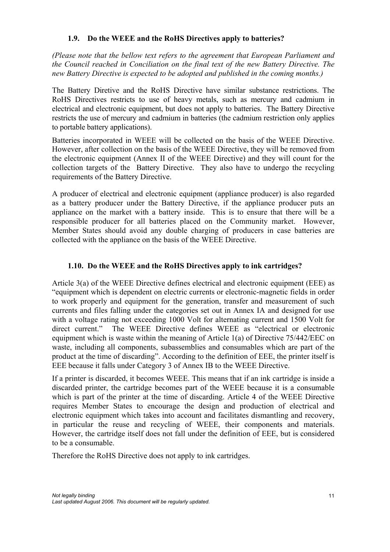### **1.9. Do the WEEE and the RoHS Directives apply to batteries?**

*(Please note that the bellow text refers to the agreement that European Parliament and the Council reached in Conciliation on the final text of the new Battery Directive. The new Battery Directive is expected to be adopted and published in the coming months.)* 

The Battery Diretive and the RoHS Directive have similar substance restrictions. The RoHS Directives restricts to use of heavy metals, such as mercury and cadmium in electrical and electronic equipment, but does not apply to batteries. The Battery Directive restricts the use of mercury and cadmium in batteries (the cadmium restriction only applies to portable battery applications).

Batteries incorporated in WEEE will be collected on the basis of the WEEE Directive. However, after collection on the basis of the WEEE Directive, they will be removed from the electronic equipment (Annex II of the WEEE Directive) and they will count for the collection targets of the Battery Directive. They also have to undergo the recycling requirements of the Battery Directive.

A producer of electrical and electronic equipment (appliance producer) is also regarded as a battery producer under the Battery Directive, if the appliance producer puts an appliance on the market with a battery inside. This is to ensure that there will be a responsible producer for all batteries placed on the Community market. However, Member States should avoid any double charging of producers in case batteries are collected with the appliance on the basis of the WEEE Directive.

## **1.10. Do the WEEE and the RoHS Directives apply to ink cartridges?**

Article 3(a) of the WEEE Directive defines electrical and electronic equipment (EEE) as "equipment which is dependent on electric currents or electronic-magnetic fields in order to work properly and equipment for the generation, transfer and measurement of such currents and files falling under the categories set out in Annex IA and designed for use with a voltage rating not exceeding 1000 Volt for alternating current and 1500 Volt for direct current." The WEEE Directive defines WEEE as "electrical or electronic equipment which is waste within the meaning of Article 1(a) of Directive 75/442/EEC on waste, including all components, subassemblies and consumables which are part of the product at the time of discarding". According to the definition of EEE, the printer itself is EEE because it falls under Category 3 of Annex IB to the WEEE Directive.

If a printer is discarded, it becomes WEEE. This means that if an ink cartridge is inside a discarded printer, the cartridge becomes part of the WEEE because it is a consumable which is part of the printer at the time of discarding. Article 4 of the WEEE Directive requires Member States to encourage the design and production of electrical and electronic equipment which takes into account and facilitates dismantling and recovery, in particular the reuse and recycling of WEEE, their components and materials. However, the cartridge itself does not fall under the definition of EEE, but is considered to be a consumable.

Therefore the RoHS Directive does not apply to ink cartridges.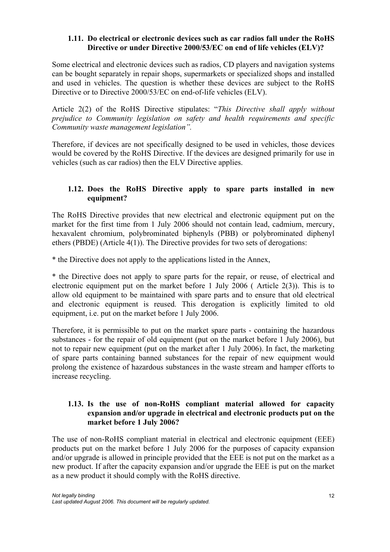#### **1.11. Do electrical or electronic devices such as car radios fall under the RoHS Directive or under Directive 2000/53/EC on end of life vehicles (ELV)?**

Some electrical and electronic devices such as radios, CD players and navigation systems can be bought separately in repair shops, supermarkets or specialized shops and installed and used in vehicles. The question is whether these devices are subject to the RoHS Directive or to Directive 2000/53/EC on end-of-life vehicles (ELV).

Article 2(2) of the RoHS Directive stipulates: "*This Directive shall apply without prejudice to Community legislation on safety and health requirements and specific Community waste management legislation".*

Therefore, if devices are not specifically designed to be used in vehicles, those devices would be covered by the RoHS Directive. If the devices are designed primarily for use in vehicles (such as car radios) then the ELV Directive applies.

#### **1.12. Does the RoHS Directive apply to spare parts installed in new equipment?**

The RoHS Directive provides that new electrical and electronic equipment put on the market for the first time from 1 July 2006 should not contain lead, cadmium, mercury, hexavalent chromium, polybrominated biphenyls (PBB) or polybrominated diphenyl ethers (PBDE) (Article 4(1)). The Directive provides for two sets of derogations:

\* the Directive does not apply to the applications listed in the Annex,

\* the Directive does not apply to spare parts for the repair, or reuse, of electrical and electronic equipment put on the market before 1 July 2006 ( Article 2(3)). This is to allow old equipment to be maintained with spare parts and to ensure that old electrical and electronic equipment is reused. This derogation is explicitly limited to old equipment, i.e. put on the market before 1 July 2006.

Therefore, it is permissible to put on the market spare parts - containing the hazardous substances - for the repair of old equipment (put on the market before 1 July 2006), but not to repair new equipment (put on the market after 1 July 2006). In fact, the marketing of spare parts containing banned substances for the repair of new equipment would prolong the existence of hazardous substances in the waste stream and hamper efforts to increase recycling.

#### **1.13. Is the use of non-RoHS compliant material allowed for capacity expansion and/or upgrade in electrical and electronic products put on the market before 1 July 2006?**

The use of non-RoHS compliant material in electrical and electronic equipment (EEE) products put on the market before 1 July 2006 for the purposes of capacity expansion and/or upgrade is allowed in principle provided that the EEE is not put on the market as a new product. If after the capacity expansion and/or upgrade the EEE is put on the market as a new product it should comply with the RoHS directive.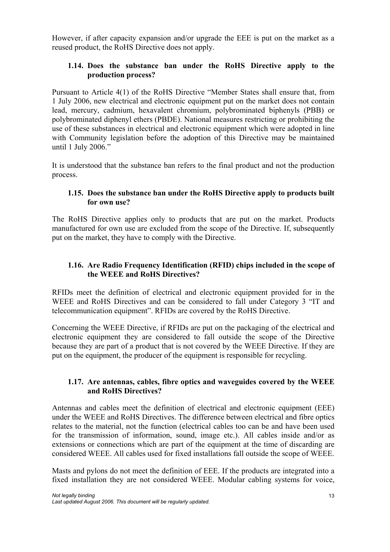However, if after capacity expansion and/or upgrade the EEE is put on the market as a reused product, the RoHS Directive does not apply.

### **1.14. Does the substance ban under the RoHS Directive apply to the production process?**

Pursuant to Article 4(1) of the RoHS Directive "Member States shall ensure that, from 1 July 2006, new electrical and electronic equipment put on the market does not contain lead, mercury, cadmium, hexavalent chromium, polybrominated biphenyls (PBB) or polybrominated diphenyl ethers (PBDE). National measures restricting or prohibiting the use of these substances in electrical and electronic equipment which were adopted in line with Community legislation before the adoption of this Directive may be maintained until 1 July 2006."

It is understood that the substance ban refers to the final product and not the production process.

#### **1.15. Does the substance ban under the RoHS Directive apply to products built for own use?**

The RoHS Directive applies only to products that are put on the market. Products manufactured for own use are excluded from the scope of the Directive. If, subsequently put on the market, they have to comply with the Directive.

## **1.16. Are Radio Frequency Identification (RFID) chips included in the scope of the WEEE and RoHS Directives?**

RFIDs meet the definition of electrical and electronic equipment provided for in the WEEE and RoHS Directives and can be considered to fall under Category 3 "IT and telecommunication equipment". RFIDs are covered by the RoHS Directive.

Concerning the WEEE Directive, if RFIDs are put on the packaging of the electrical and electronic equipment they are considered to fall outside the scope of the Directive because they are part of a product that is not covered by the WEEE Directive. If they are put on the equipment, the producer of the equipment is responsible for recycling.

#### **1.17. Are antennas, cables, fibre optics and waveguides covered by the WEEE and RoHS Directives?**

Antennas and cables meet the definition of electrical and electronic equipment (EEE) under the WEEE and RoHS Directives. The difference between electrical and fibre optics relates to the material, not the function (electrical cables too can be and have been used for the transmission of information, sound, image etc.). All cables inside and/or as extensions or connections which are part of the equipment at the time of discarding are considered WEEE. All cables used for fixed installations fall outside the scope of WEEE.

Masts and pylons do not meet the definition of EEE. If the products are integrated into a fixed installation they are not considered WEEE. Modular cabling systems for voice,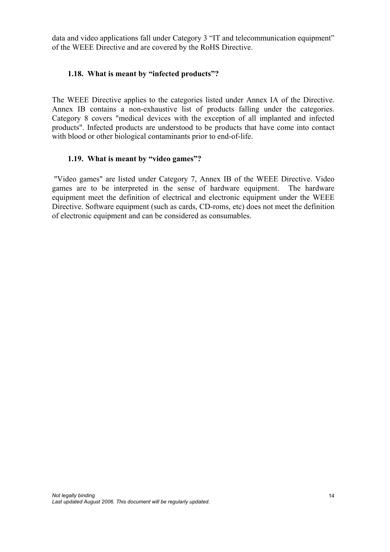data and video applications fall under Category 3 "IT and telecommunication equipment" of the WEEE Directive and are covered by the RoHS Directive.

#### **1.18. What is meant by "infected products"?**

The WEEE Directive applies to the categories listed under Annex IA of the Directive. Annex IB contains a non-exhaustive list of products falling under the categories. Category 8 covers "medical devices with the exception of all implanted and infected products". Infected products are understood to be products that have come into contact with blood or other biological contaminants prior to end-of-life.

#### **1.19. What is meant by "video games"?**

 "Video games" are listed under Category 7, Annex IB of the WEEE Directive. Video games are to be interpreted in the sense of hardware equipment. The hardware equipment meet the definition of electrical and electronic equipment under the WEEE Directive. Software equipment (such as cards, CD-roms, etc) does not meet the definition of electronic equipment and can be considered as consumables.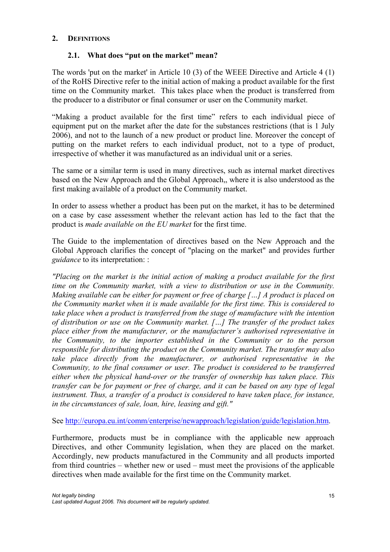#### **2. DEFINITIONS**

#### **2.1. What does "put on the market" mean?**

The words 'put on the market' in Article 10 (3) of the WEEE Directive and Article 4 (1) of the RoHS Directive refer to the initial action of making a product available for the first time on the Community market. This takes place when the product is transferred from the producer to a distributor or final consumer or user on the Community market.

"Making a product available for the first time" refers to each individual piece of equipment put on the market after the date for the substances restrictions (that is 1 July 2006), and not to the launch of a new product or product line. Moreover the concept of putting on the market refers to each individual product, not to a type of product, irrespective of whether it was manufactured as an individual unit or a series.

The same or a similar term is used in many directives, such as internal market directives based on the New Approach and the Global Approach,, where it is also understood as the first making available of a product on the Community market.

In order to assess whether a product has been put on the market, it has to be determined on a case by case assessment whether the relevant action has led to the fact that the product is *made available on the EU market* for the first time.

The Guide to the implementation of directives based on the New Approach and the Global Approach clarifies the concept of "placing on the market" and provides further *guidance* to its interpretation: :

*"Placing on the market is the initial action of making a product available for the first time on the Community market, with a view to distribution or use in the Community. Making available can be either for payment or free of charge […] A product is placed on the Community market when it is made available for the first time. This is considered to take place when a product is transferred from the stage of manufacture with the intention of distribution or use on the Community market. […] The transfer of the product takes place either from the manufacturer, or the manufacturer's authorised representative in the Community, to the importer established in the Community or to the person responsible for distributing the product on the Community market. The transfer may also take place directly from the manufacturer, or authorised representative in the Community, to the final consumer or user. The product is considered to be transferred either when the physical hand-over or the transfer of ownership has taken place. This transfer can be for payment or free of charge, and it can be based on any type of legal*  instrument. Thus, a transfer of a product is considered to have taken place, for instance, *in the circumstances of sale, loan, hire, leasing and gift."*

See http://europa.eu.int/comm/enterprise/newapproach/legislation/guide/legislation.htm.

Furthermore, products must be in compliance with the applicable new approach Directives, and other Community legislation, when they are placed on the market. Accordingly, new products manufactured in the Community and all products imported from third countries – whether new or used – must meet the provisions of the applicable directives when made available for the first time on the Community market.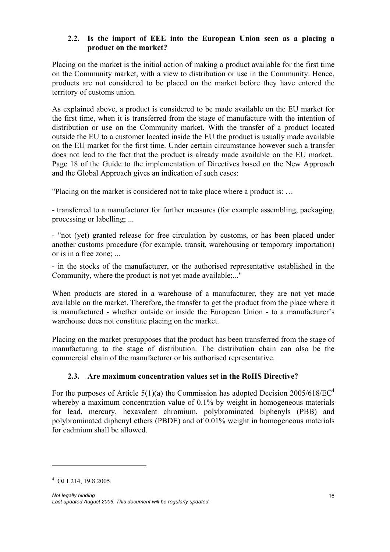### **2.2. Is the import of EEE into the European Union seen as a placing a product on the market?**

Placing on the market is the initial action of making a product available for the first time on the Community market, with a view to distribution or use in the Community. Hence, products are not considered to be placed on the market before they have entered the territory of customs union.

As explained above, a product is considered to be made available on the EU market for the first time, when it is transferred from the stage of manufacture with the intention of distribution or use on the Community market. With the transfer of a product located outside the EU to a customer located inside the EU the product is usually made available on the EU market for the first time. Under certain circumstance however such a transfer does not lead to the fact that the product is already made available on the EU market.*.*  Page 18 of the Guide to the implementation of Directives based on the New Approach and the Global Approach gives an indication of such cases:

"Placing on the market is considered not to take place where a product is: …

- transferred to a manufacturer for further measures (for example assembling, packaging, processing or labelling; ...

- "not (yet) granted release for free circulation by customs, or has been placed under another customs procedure (for example, transit, warehousing or temporary importation) or is in a free zone; ...

- in the stocks of the manufacturer, or the authorised representative established in the Community, where the product is not yet made available;..."

When products are stored in a warehouse of a manufacturer, they are not yet made available on the market. Therefore, the transfer to get the product from the place where it is manufactured - whether outside or inside the European Union - to a manufacturer's warehouse does not constitute placing on the market.

Placing on the market presupposes that the product has been transferred from the stage of manufacturing to the stage of distribution. The distribution chain can also be the commercial chain of the manufacturer or his authorised representative.

## **2.3. Are maximum concentration values set in the RoHS Directive?**

For the purposes of Article  $5(1)(a)$  the Commission has adopted Decision 2005/618/EC<sup>4</sup> whereby a maximum concentration value of 0.1% by weight in homogeneous materials for lead, mercury, hexavalent chromium, polybrominated biphenyls (PBB) and polybrominated diphenyl ethers (PBDE) and of 0.01% weight in homogeneous materials for cadmium shall be allowed.

<sup>4</sup> OJ L214, 19.8.2005.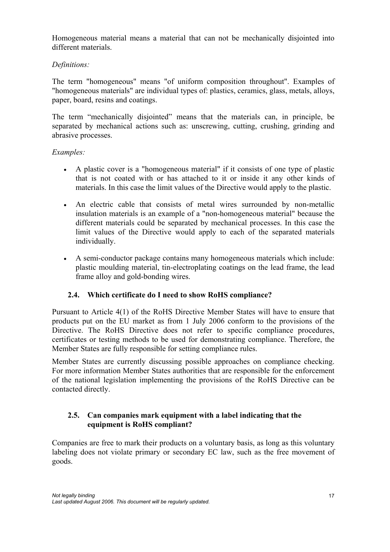Homogeneous material means a material that can not be mechanically disjointed into different materials.

## *Definitions:*

The term "homogeneous" means "of uniform composition throughout". Examples of "homogeneous materials" are individual types of: plastics, ceramics, glass, metals, alloys, paper, board, resins and coatings.

The term "mechanically disjointed" means that the materials can, in principle, be separated by mechanical actions such as: unscrewing, cutting, crushing, grinding and abrasive processes.

#### *Examples:*

- A plastic cover is a "homogeneous material" if it consists of one type of plastic that is not coated with or has attached to it or inside it any other kinds of materials. In this case the limit values of the Directive would apply to the plastic.
- An electric cable that consists of metal wires surrounded by non-metallic insulation materials is an example of a "non-homogeneous material" because the different materials could be separated by mechanical processes. In this case the limit values of the Directive would apply to each of the separated materials individually.
- A semi-conductor package contains many homogeneous materials which include: plastic moulding material, tin-electroplating coatings on the lead frame, the lead frame alloy and gold-bonding wires.

## **2.4. Which certificate do I need to show RoHS compliance?**

Pursuant to Article 4(1) of the RoHS Directive Member States will have to ensure that products put on the EU market as from 1 July 2006 conform to the provisions of the Directive. The RoHS Directive does not refer to specific compliance procedures, certificates or testing methods to be used for demonstrating compliance. Therefore, the Member States are fully responsible for setting compliance rules.

Member States are currently discussing possible approaches on compliance checking. For more information Member States authorities that are responsible for the enforcement of the national legislation implementing the provisions of the RoHS Directive can be contacted directly.

#### **2.5. Can companies mark equipment with a label indicating that the equipment is RoHS compliant?**

Companies are free to mark their products on a voluntary basis, as long as this voluntary labeling does not violate primary or secondary EC law, such as the free movement of goods.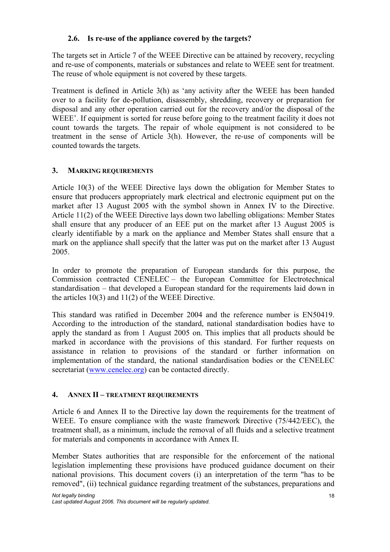### **2.6. Is re-use of the appliance covered by the targets?**

The targets set in Article 7 of the WEEE Directive can be attained by recovery, recycling and re-use of components, materials or substances and relate to WEEE sent for treatment. The reuse of whole equipment is not covered by these targets.

Treatment is defined in Article 3(h) as 'any activity after the WEEE has been handed over to a facility for de-pollution, disassembly, shredding, recovery or preparation for disposal and any other operation carried out for the recovery and/or the disposal of the WEEE'. If equipment is sorted for reuse before going to the treatment facility it does not count towards the targets. The repair of whole equipment is not considered to be treatment in the sense of Article 3(h). However, the re-use of components will be counted towards the targets.

## **3. MARKING REQUIREMENTS**

Article 10(3) of the WEEE Directive lays down the obligation for Member States to ensure that producers appropriately mark electrical and electronic equipment put on the market after 13 August 2005 with the symbol shown in Annex IV to the Directive. Article 11(2) of the WEEE Directive lays down two labelling obligations: Member States shall ensure that any producer of an EEE put on the market after 13 August 2005 is clearly identifiable by a mark on the appliance and Member States shall ensure that a mark on the appliance shall specify that the latter was put on the market after 13 August 2005.

In order to promote the preparation of European standards for this purpose, the Commission contracted CENELEC – the European Committee for Electrotechnical standardisation – that developed a European standard for the requirements laid down in the articles 10(3) and 11(2) of the WEEE Directive.

This standard was ratified in December 2004 and the reference number is EN50419. According to the introduction of the standard, national standardisation bodies have to apply the standard as from 1 August 2005 on. This implies that all products should be marked in accordance with the provisions of this standard. For further requests on assistance in relation to provisions of the standard or further information on implementation of the standard, the national standardisation bodies or the CENELEC secretariat (www.cenelec.org) can be contacted directly.

#### **4. ANNEX II – TREATMENT REQUIREMENTS**

Article 6 and Annex II to the Directive lay down the requirements for the treatment of WEEE. To ensure compliance with the waste framework Directive (75/442/EEC), the treatment shall, as a minimum, include the removal of all fluids and a selective treatment for materials and components in accordance with Annex II.

Member States authorities that are responsible for the enforcement of the national legislation implementing these provisions have produced guidance document on their national provisions. This document covers (i) an interpretation of the term "has to be removed", (ii) technical guidance regarding treatment of the substances, preparations and